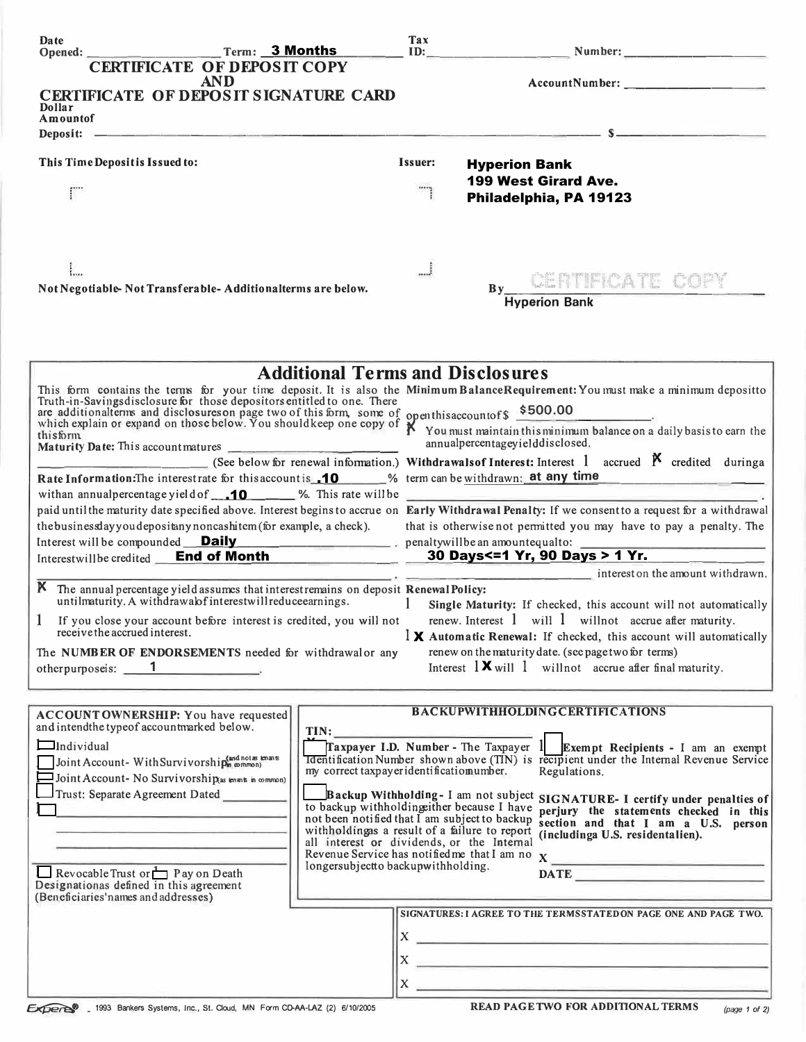| Date                                                                                                                                                                                                                                  |                                    |                                                                                             | Tax<br>ID: |                                                                                                                                                                                                         |  |
|---------------------------------------------------------------------------------------------------------------------------------------------------------------------------------------------------------------------------------------|------------------------------------|---------------------------------------------------------------------------------------------|------------|---------------------------------------------------------------------------------------------------------------------------------------------------------------------------------------------------------|--|
|                                                                                                                                                                                                                                       | <b>CERTIFICATE OF DEPOSIT COPY</b> |                                                                                             |            |                                                                                                                                                                                                         |  |
|                                                                                                                                                                                                                                       | <b>AND</b>                         |                                                                                             |            |                                                                                                                                                                                                         |  |
| <b>CERTIFICATE OF DEPOSIT SIGNATURE CARD</b><br>Dollar                                                                                                                                                                                |                                    |                                                                                             |            |                                                                                                                                                                                                         |  |
| Amountof                                                                                                                                                                                                                              |                                    |                                                                                             |            |                                                                                                                                                                                                         |  |
| Deposit: -                                                                                                                                                                                                                            |                                    |                                                                                             |            | <u>s se estados de concertamente de la concerta de concerta de la concerta de la concerta de la concerta de la c</u>                                                                                    |  |
| This Time Depositis Issued to:                                                                                                                                                                                                        |                                    |                                                                                             | Issuer:    | <b>Hyperion Bank</b>                                                                                                                                                                                    |  |
|                                                                                                                                                                                                                                       |                                    |                                                                                             |            | 199 West Girard Ave.                                                                                                                                                                                    |  |
|                                                                                                                                                                                                                                       |                                    |                                                                                             |            | Philadelphia, PA 19123                                                                                                                                                                                  |  |
|                                                                                                                                                                                                                                       |                                    |                                                                                             |            |                                                                                                                                                                                                         |  |
|                                                                                                                                                                                                                                       |                                    |                                                                                             | J          |                                                                                                                                                                                                         |  |
|                                                                                                                                                                                                                                       |                                    |                                                                                             |            | By CERTIFICATE COPY                                                                                                                                                                                     |  |
| Not Negotiable-Not Transferable-Additionalterms are below.                                                                                                                                                                            |                                    |                                                                                             |            | <b>Hyperion Bank</b>                                                                                                                                                                                    |  |
|                                                                                                                                                                                                                                       |                                    |                                                                                             |            |                                                                                                                                                                                                         |  |
|                                                                                                                                                                                                                                       |                                    | <b>Additional Terms and Disclosures</b>                                                     |            |                                                                                                                                                                                                         |  |
|                                                                                                                                                                                                                                       |                                    |                                                                                             |            | This form contains the terms for your time deposit. It is also the Minimum BalanceRequirement: You must make a minimum depositto Truth-in-Savingsdisclosure for those depositors entitled to one. There |  |
| and disclosures on page two of this form, some of openthis account of \$500.00<br>which explain or expand on those below. You shouldkeep one copy of X You must maintain this minimum balance on a daily basis to earn the<br>this fo |                                    |                                                                                             |            |                                                                                                                                                                                                         |  |
| thisform<br>Maturity Date: This account matures                                                                                                                                                                                       |                                    |                                                                                             |            | annualpercentageyielddisclosed.                                                                                                                                                                         |  |
|                                                                                                                                                                                                                                       |                                    |                                                                                             |            | (See below for renewal information.) Withdrawals of Interest: Interest 1 accrued $\boldsymbol{\beta}$ credited during a                                                                                 |  |
|                                                                                                                                                                                                                                       |                                    |                                                                                             |            | Rate Information: The interestrate for this account is 10 % term can be withdrawn: at any time                                                                                                          |  |
|                                                                                                                                                                                                                                       |                                    |                                                                                             |            | with an annual percentage yield of $\Box$ 10 %. This rate will be                                                                                                                                       |  |
|                                                                                                                                                                                                                                       |                                    |                                                                                             |            | paid until the maturity date specified above. Interest begins to accrue on Early Withdrawal Penalty: If we consent to a request for a withdrawal                                                        |  |
| the business day you depositany noncashitem (for example, a check).                                                                                                                                                                   |                                    |                                                                                             |            | that is otherwise not permitted you may have to pay a penalty. The                                                                                                                                      |  |
|                                                                                                                                                                                                                                       |                                    |                                                                                             |            | Interest will be compounded <b>Daily</b> 2008 and the penalty will be an amountequal to:<br>Interestwillbe credited End of Month 30 Days<=1 Yr, 90 Days > 1 Yr.                                         |  |
|                                                                                                                                                                                                                                       |                                    |                                                                                             |            | interest on the amount withdrawn.                                                                                                                                                                       |  |
| K The annual percentage yield assumes that interest remains on deposit Renewal Policy:                                                                                                                                                |                                    |                                                                                             |            |                                                                                                                                                                                                         |  |
| untilmaturity. A withdrawalof interestwill reduceearnings.                                                                                                                                                                            |                                    |                                                                                             |            | Single Maturity: If checked, this account will not automatically                                                                                                                                        |  |
| If you close your account before interest is credited, you will not<br>receive the accrued interest.                                                                                                                                  |                                    |                                                                                             |            | renew. Interest $1$ will $1$ will not accrue after maturity.                                                                                                                                            |  |
| The NUMBER OF ENDORSEMENTS needed for withdrawalor any                                                                                                                                                                                |                                    |                                                                                             |            | $\mathbf{1} \times \mathbf{A}$ automatic Renewal: If checked, this account will automatically<br>renew on the maturity date. (see page two for terms)                                                   |  |
| other purpose is: $\qquad \qquad 1$                                                                                                                                                                                                   |                                    |                                                                                             |            | Interest $\mathbf{1} \mathbf{X}$ will $\mathbf{1}$ will not accrue after final maturity.                                                                                                                |  |
|                                                                                                                                                                                                                                       |                                    |                                                                                             |            |                                                                                                                                                                                                         |  |
| ACCOUNTOWNERSHIP: You have requested                                                                                                                                                                                                  |                                    |                                                                                             |            | <b>BACKUPWITHHOLDINGCERTIFICATIONS</b>                                                                                                                                                                  |  |
| and intendthe typeof accountmarked below.                                                                                                                                                                                             |                                    | TIN:                                                                                        |            |                                                                                                                                                                                                         |  |
| $\Box$ Individual                                                                                                                                                                                                                     |                                    |                                                                                             |            | Traxpayer I.D. Number - The Taxpayer $1$ Exempt Recipients - I am an exempt                                                                                                                             |  |
| Joint Account-With Survivorship(and not as knans                                                                                                                                                                                      |                                    | my correct taxpayeridentificatiomumber.                                                     |            | <b>Identification Number shown above (TIN)</b> is recipient under the Internal Revenue Service<br>Regulations.                                                                                          |  |
| $\Box$ Joint Account- No Survivorship(as enants in common)                                                                                                                                                                            |                                    |                                                                                             |            |                                                                                                                                                                                                         |  |
| Trust: Separate Agreement Dated                                                                                                                                                                                                       |                                    | to backup withholding ther because I have                                                   |            | Backup Withholding-I am not subject SIGNATURE-I certify under penalties of                                                                                                                              |  |
|                                                                                                                                                                                                                                       |                                    | not been notified that I am subject to backup                                               |            | perjury the statements checked in this<br>section and that I am a U.S. person                                                                                                                           |  |
|                                                                                                                                                                                                                                       |                                    | withholdingas a result of a failure to report<br>all interest or dividends, or the Internal |            | (includinga U.S. residentalien).                                                                                                                                                                        |  |
|                                                                                                                                                                                                                                       |                                    |                                                                                             |            |                                                                                                                                                                                                         |  |
| $\Box$ Revocable Trust or $\Box$ Pay on Death                                                                                                                                                                                         |                                    | longersubjectto backupwithholding.                                                          |            | DATE <b>DESCRIPTION</b>                                                                                                                                                                                 |  |
| Designationas defined in this agreement<br>(Beneficiaries' names and addresses)                                                                                                                                                       |                                    |                                                                                             |            |                                                                                                                                                                                                         |  |
|                                                                                                                                                                                                                                       |                                    |                                                                                             |            | SIGNATURES: I AGREE TO THE TERMSSTATED ON PAGE ONE AND PAGE TWO.                                                                                                                                        |  |
|                                                                                                                                                                                                                                       |                                    |                                                                                             |            | $\mathbf{x}$ $\overline{\phantom{a}}$                                                                                                                                                                   |  |
|                                                                                                                                                                                                                                       |                                    |                                                                                             |            |                                                                                                                                                                                                         |  |
|                                                                                                                                                                                                                                       |                                    |                                                                                             |            |                                                                                                                                                                                                         |  |
|                                                                                                                                                                                                                                       |                                    |                                                                                             |            |                                                                                                                                                                                                         |  |
| Experts <sup>0</sup> _ 1993 Bankers Systems, Inc., St. Cloud, MN Form CD-AA-LAZ (2) 6/10/2005                                                                                                                                         |                                    |                                                                                             |            | <b>READ PAGE TWO FOR ADDITIONAL TERMS</b><br>(page 1 of 2)                                                                                                                                              |  |